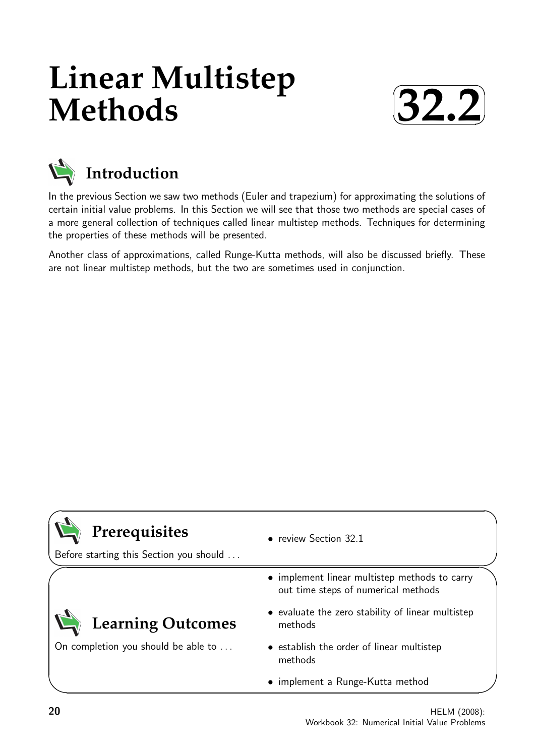# **Linear Multistep Methods**





## **Introduction**

In the previous Section we saw two methods (Euler and trapezium) for approximating the solutions of certain initial value problems. In this Section we will see that those two methods are special cases of a more general collection of techniques called linear multistep methods. Techniques for determining the properties of these methods will be presented.

Another class of approximations, called Runge-Kutta methods, will also be discussed briefly. These are not linear multistep methods, but the two are sometimes used in conjunction.

## **Prerequisites**

Before starting this Section you should . . .

On completion you should be able to ...

**Learning Outcomes**

- review Section 32.1
- implement linear multistep methods to carry out time steps of numerical methods
- evaluate the zero stability of linear multistep methods
	- establish the order of linear multistep methods
	- implement a Runge-Kutta method

#### 20 HELM (2008): Workbook 32: Numerical Initial Value Problems

 $\overline{\phantom{0}}$ 

 $\overline{\phantom{0}}$ 

 $\searrow$ 

 $\ge$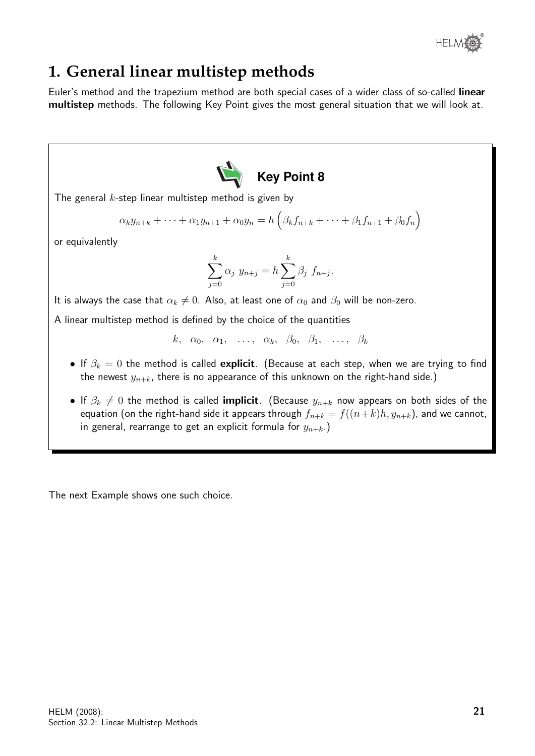

## **1. General linear multistep methods**

Euler's method and the trapezium method are both special cases of a wider class of so-called linear multistep methods. The following Key Point gives the most general situation that we will look at.



The general  $k$ -step linear multistep method is given by

$$
\alpha_k y_{n+k} + \dots + \alpha_1 y_{n+1} + \alpha_0 y_n = h \left( \beta_k f_{n+k} + \dots + \beta_1 f_{n+1} + \beta_0 f_n \right)
$$

or equivalently

$$
\sum_{j=0}^{k} \alpha_j y_{n+j} = h \sum_{j=0}^{k} \beta_j f_{n+j}.
$$

It is always the case that  $\alpha_k \neq 0$ . Also, at least one of  $\alpha_0$  and  $\beta_0$  will be non-zero.

A linear multistep method is defined by the choice of the quantities

$$
k, \alpha_0, \alpha_1, \ldots, \alpha_k, \beta_0, \beta_1, \ldots, \beta_k
$$

- If  $\beta_k = 0$  the method is called explicit. (Because at each step, when we are trying to find the newest  $y_{n+k}$ , there is no appearance of this unknown on the right-hand side.)
- If  $\beta_k \neq 0$  the method is called **implicit**. (Because  $y_{n+k}$  now appears on both sides of the equation (on the right-hand side it appears through  $f_{n+k} = f((n+k)h, y_{n+k})$ , and we cannot, in general, rearrange to get an explicit formula for  $y_{n+k}$ .)

The next Example shows one such choice.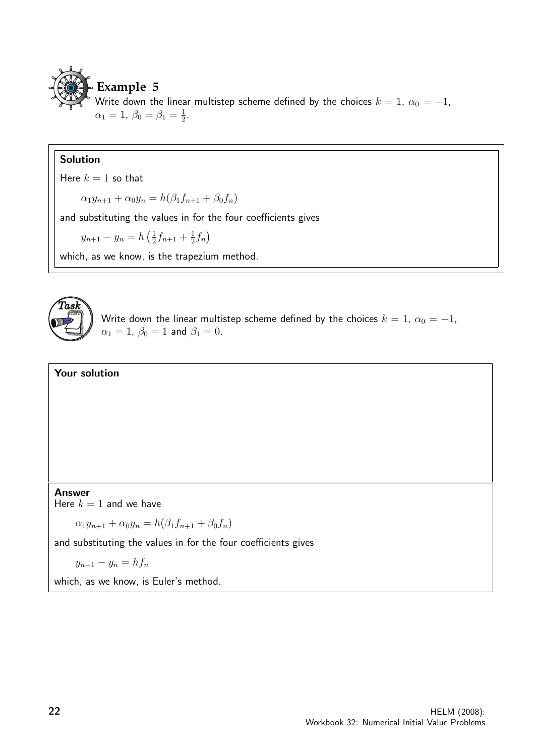

Write down the linear multistep scheme defined by the choices  $k = 1$ ,  $\alpha_0 = -1$ ,  $\alpha_1 = 1, \ \beta_0 = \beta_1 = \frac{1}{2}$  $\frac{1}{2}$ .

#### Solution

Here  $k = 1$  so that

 $\alpha_1 y_{n+1} + \alpha_0 y_n = h(\beta_1 f_{n+1} + \beta_0 f_n)$ 

and substituting the values in for the four coefficients gives

 $y_{n+1} - y_n = h\left(\frac{1}{2}\right)$  $\frac{1}{2}f_{n+1} + \frac{1}{2}$  $\frac{1}{2} f_n$ 

which, as we know, is the trapezium method.



Write down the linear multistep scheme defined by the choices  $k = 1$ ,  $\alpha_0 = -1$ ,  $\alpha_1 = 1$ ,  $\beta_0 = 1$  and  $\beta_1 = 0$ .

#### Your solution

Answer

Here  $k = 1$  and we have

 $\alpha_1 y_{n+1} + \alpha_0 y_n = h(\beta_1 f_{n+1} + \beta_0 f_n)$ 

and substituting the values in for the four coefficients gives

 $y_{n+1} - y_n = hf_n$ 

which, as we know, is Euler's method.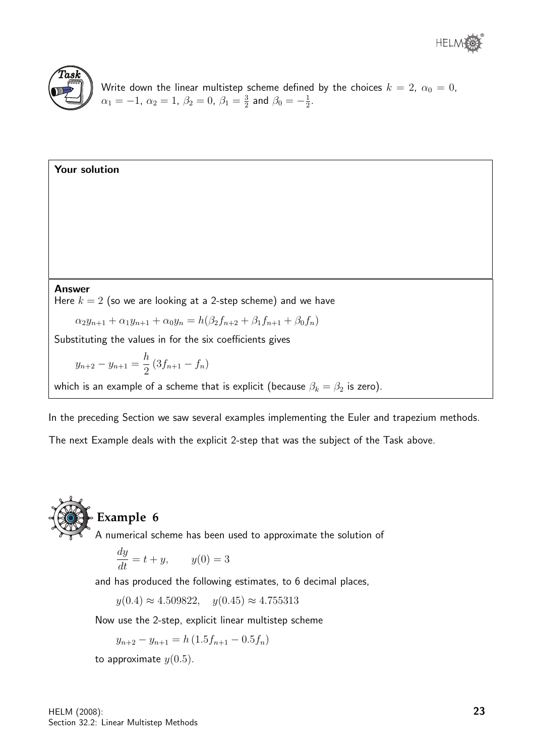

Write down the linear multistep scheme defined by the choices  $k\,=\,2,\;\alpha_0\,=\,0,$  $\alpha_1 = -1, \ \alpha_2 = 1, \ \beta_2 = 0, \ \beta_1 = \frac{3}{2}$  $\frac{3}{2}$  and  $\beta_0 = -\frac{1}{2}$  $\frac{1}{2}$ .

Your solution Answer Here  $k = 2$  (so we are looking at a 2-step scheme) and we have  $\alpha_2 y_{n+1} + \alpha_1 y_{n+1} + \alpha_0 y_n = h(\beta_2 f_{n+2} + \beta_1 f_{n+1} + \beta_0 f_n)$ Substituting the values in for the six coefficients gives  $y_{n+2} - y_{n+1} = \frac{h}{2}$  $\frac{n}{2}(3f_{n+1}-f_n)$ which is an example of a scheme that is explicit (because  $\beta_k = \beta_2$  is zero).

In the preceding Section we saw several examples implementing the Euler and trapezium methods. The next Example deals with the explicit 2-step that was the subject of the Task above.



### **Example 6**

A numerical scheme has been used to approximate the solution of

$$
\frac{dy}{dt} = t + y, \qquad y(0) = 3
$$

and has produced the following estimates, to 6 decimal places,

 $y(0.4) \approx 4.509822$ ,  $y(0.45) \approx 4.755313$ 

Now use the 2-step, explicit linear multistep scheme

$$
y_{n+2} - y_{n+1} = h(1.5f_{n+1} - 0.5f_n)
$$

to approximate  $y(0.5)$ .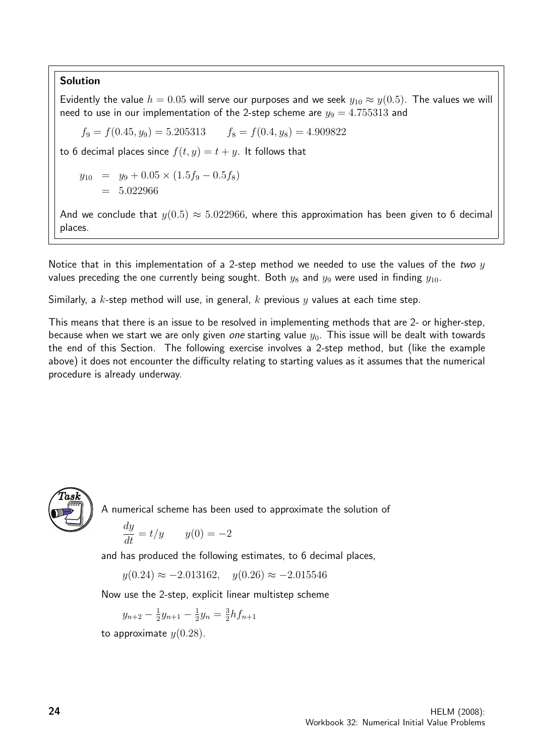#### Solution

Evidently the value  $h = 0.05$  will serve our purposes and we seek  $y_{10} \approx y(0.5)$ . The values we will need to use in our implementation of the 2-step scheme are  $y_9 = 4.755313$  and

 $f_9 = f(0.45, y_9) = 5.205313$   $f_8 = f(0.4, y_8) = 4.909822$ 

to 6 decimal places since  $f(t, y) = t + y$ . It follows that

$$
y_{10} = y_9 + 0.05 \times (1.5f_9 - 0.5f_8)
$$

$$
= 5.022966
$$

And we conclude that  $y(0.5) \approx 5.022966$ , where this approximation has been given to 6 decimal places.

Notice that in this implementation of a 2-step method we needed to use the values of the two  $y$ values preceding the one currently being sought. Both  $y_8$  and  $y_9$  were used in finding  $y_{10}$ .

Similarly, a k-step method will use, in general, k previous y values at each time step.

This means that there is an issue to be resolved in implementing methods that are 2- or higher-step, because when we start we are only given one starting value  $y_0$ . This issue will be dealt with towards the end of this Section. The following exercise involves a 2-step method, but (like the example above) it does not encounter the difficulty relating to starting values as it assumes that the numerical procedure is already underway.



A numerical scheme has been used to approximate the solution of

$$
\frac{dy}{dt} = t/y \qquad y(0) = -2
$$

and has produced the following estimates, to 6 decimal places,

 $y(0.24) \approx -2.013162$ ,  $y(0.26) \approx -2.015546$ 

Now use the 2-step, explicit linear multistep scheme

$$
y_{n+2} - \frac{1}{2}y_{n+1} - \frac{1}{2}y_n = \frac{3}{2}hf_{n+1}
$$

to approximate  $y(0.28)$ .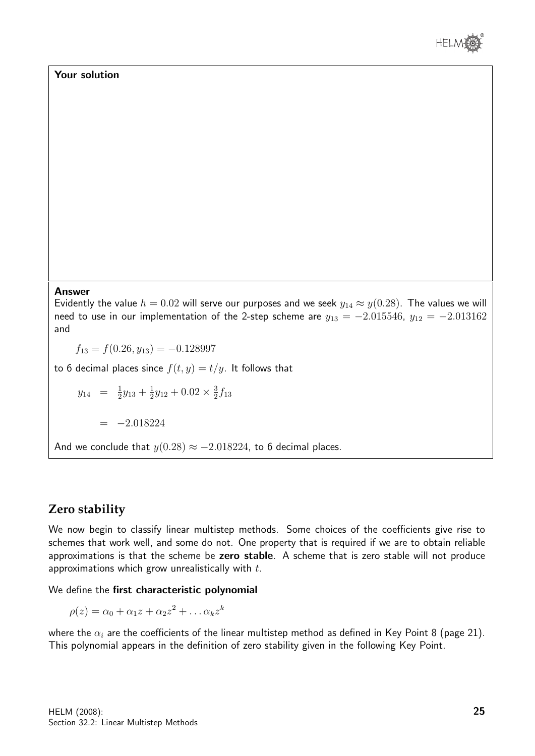

#### Your solution

#### Answer

Evidently the value  $h = 0.02$  will serve our purposes and we seek  $y_{14} \approx y(0.28)$ . The values we will need to use in our implementation of the 2-step scheme are  $y_{13} = -2.015546$ ,  $y_{12} = -2.013162$ and

 $f_{13} = f(0.26, y_{13}) = -0.128997$ 

to 6 decimal places since  $f(t, y) = t/y$ . It follows that

 $y_{14} = \frac{1}{2}$  $\frac{1}{2}y_{13} + \frac{1}{2}$  $\frac{1}{2}y_{12} + 0.02 \times \frac{3}{2}$  $\frac{3}{2}f_{13}$ 

 $=$   $-2.018224$ 

And we conclude that  $y(0.28) \approx -2.018224$ , to 6 decimal places.

#### **Zero stability**

We now begin to classify linear multistep methods. Some choices of the coefficients give rise to schemes that work well, and some do not. One property that is required if we are to obtain reliable approximations is that the scheme be zero stable. A scheme that is zero stable will not produce approximations which grow unrealistically with  $t$ .

We define the first characteristic polynomial

 $\rho(z) = \alpha_0 + \alpha_1 z + \alpha_2 z^2 + \dots \alpha_k z^k$ 

where the  $\alpha_i$  are the coefficients of the linear multistep method as defined in Key Point 8 (page 21). This polynomial appears in the definition of zero stability given in the following Key Point.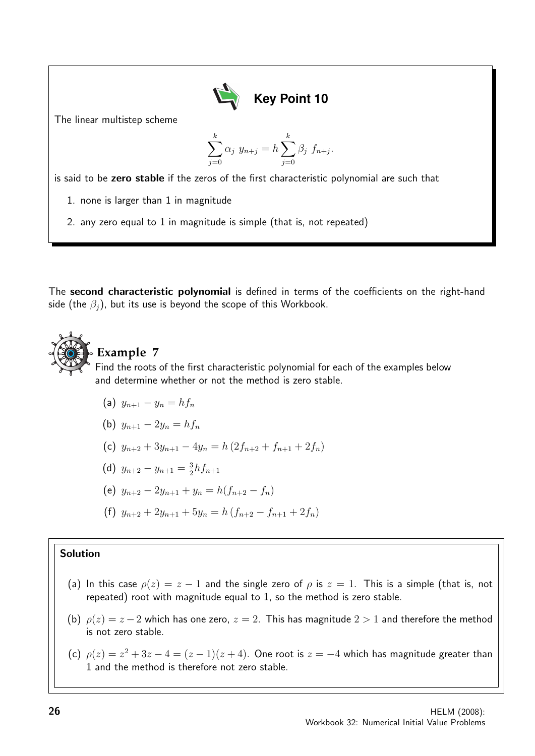

The linear multistep scheme

$$
\sum_{j=0}^{k} \alpha_j y_{n+j} = h \sum_{j=0}^{k} \beta_j f_{n+j}.
$$

is said to be zero stable if the zeros of the first characteristic polynomial are such that

- 1. none is larger than 1 in magnitude
- 2. any zero equal to 1 in magnitude is simple (that is, not repeated)

The second characteristic polynomial is defined in terms of the coefficients on the right-hand side (the  $\beta_i$ ), but its use is beyond the scope of this Workbook.



### **Example 7**

Find the roots of the first characteristic polynomial for each of the examples below and determine whether or not the method is zero stable.

- (a)  $y_{n+1} y_n = hf_n$
- (b)  $y_{n+1} 2y_n = hf_n$
- (c)  $y_{n+2} + 3y_{n+1} 4y_n = h(2f_{n+2} + f_{n+1} + 2f_n)$
- (d)  $y_{n+2} y_{n+1} = \frac{3}{2}$  $\frac{3}{2}hf_{n+1}$
- (e)  $y_{n+2} 2y_{n+1} + y_n = h(f_{n+2} f_n)$
- (f)  $y_{n+2} + 2y_{n+1} + 5y_n = h(f_{n+2} f_{n+1} + 2f_n)$

#### Solution

- (a) In this case  $\rho(z) = z 1$  and the single zero of  $\rho$  is  $z = 1$ . This is a simple (that is, not repeated) root with magnitude equal to 1, so the method is zero stable.
- (b)  $\rho(z) = z 2$  which has one zero,  $z = 2$ . This has magnitude  $2 > 1$  and therefore the method is not zero stable.
- (c)  $\rho(z) = z^2 + 3z 4 = (z 1)(z + 4)$ . One root is  $z = -4$  which has magnitude greater than 1 and the method is therefore not zero stable.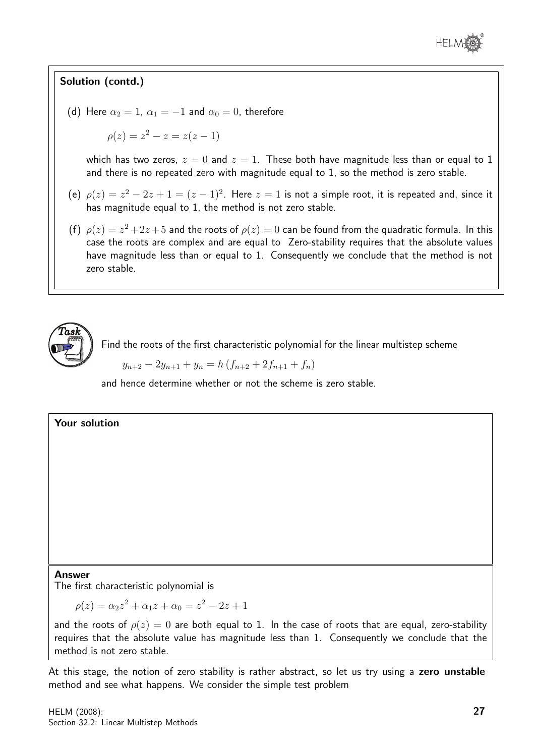

#### Solution (contd.)

(d) Here  $\alpha_2 = 1$ ,  $\alpha_1 = -1$  and  $\alpha_0 = 0$ , therefore

 $\rho(z) = z^2 - z = z(z - 1)$ 

which has two zeros,  $z = 0$  and  $z = 1$ . These both have magnitude less than or equal to 1 and there is no repeated zero with magnitude equal to 1, so the method is zero stable.

- (e)  $\rho(z) = z^2 2z + 1 = (z 1)^2$ . Here  $z = 1$  is not a simple root, it is repeated and, since it has magnitude equal to 1, the method is not zero stable.
- (f)  $\rho(z) = z^2 + 2z + 5$  and the roots of  $\rho(z) = 0$  can be found from the quadratic formula. In this case the roots are complex and are equal to Zero-stability requires that the absolute values have magnitude less than or equal to 1. Consequently we conclude that the method is not zero stable.



Find the roots of the first characteristic polynomial for the linear multistep scheme

 $y_{n+2} - 2y_{n+1} + y_n = h(f_{n+2} + 2f_{n+1} + f_n)$ 

and hence determine whether or not the scheme is zero stable.

#### Your solution

#### Answer

The first characteristic polynomial is

$$
\rho(z) = \alpha_2 z^2 + \alpha_1 z + \alpha_0 = z^2 - 2z + 1
$$

and the roots of  $\rho(z) = 0$  are both equal to 1. In the case of roots that are equal, zero-stability requires that the absolute value has magnitude less than 1. Consequently we conclude that the method is not zero stable.

At this stage, the notion of zero stability is rather abstract, so let us try using a zero unstable method and see what happens. We consider the simple test problem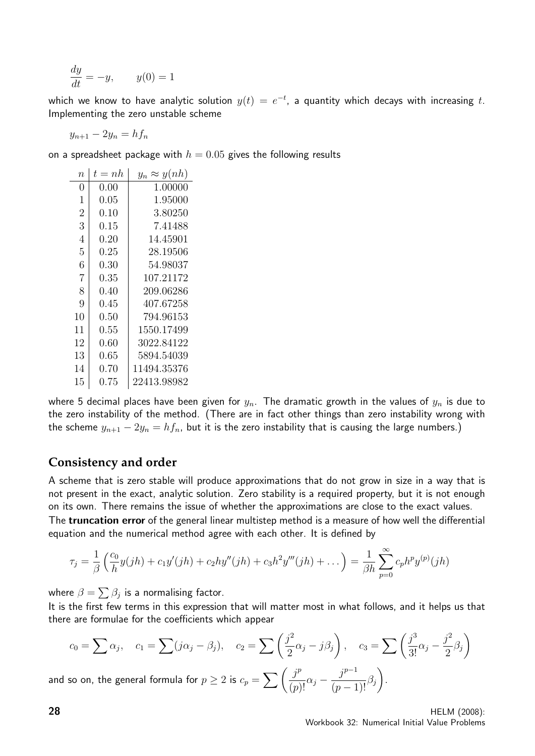$$
\frac{dy}{dt} = -y, \qquad y(0) = 1
$$

which we know to have analytic solution  $y(t)\,=\,e^{-t}$ , a quantity which decays with increasing  $t.$ Implementing the zero unstable scheme

$$
y_{n+1} - 2y_n = h f_n
$$

on a spreadsheet package with  $h = 0.05$  gives the following results

| $\overline{n}$ | $t = nh$   | $y_n \approx y(nh)$ |
|----------------|------------|---------------------|
| 0              | 0.00       | 1.00000             |
| $\mathbf{1}$   | $0.05\,$   | 1.95000             |
| $\overline{2}$ | $0.10\,$   | 3.80250             |
| 3              | 0.15       | 7.41488             |
| $\overline{4}$ | $0.20\,$   | 14.45901            |
| 5              | $0.25\,$   | 28.19506            |
| 6              | $0.30\,$   | 54.98037            |
| $\overline{7}$ | $\rm 0.35$ | 107.21172           |
| 8              | 0.40       | 209.06286           |
| 9              | $0.45\,$   | 407.67258           |
| 10             | $0.50\,$   | 794.96153           |
| 11             | $\rm 0.55$ | 1550.17499          |
| 12             | $0.60\,$   | 3022.84122          |
| 13             | $0.65\,$   | 5894.54039          |
| 14             | 0.70       | 11494.35376         |
| 15             | $0.75\,$   | 22413.98982         |

where 5 decimal places have been given for  $y_n$ . The dramatic growth in the values of  $y_n$  is due to the zero instability of the method. (There are in fact other things than zero instability wrong with the scheme  $y_{n+1} - 2y_n = hf_n$ , but it is the zero instability that is causing the large numbers.)

#### **Consistency and order**

A scheme that is zero stable will produce approximations that do not grow in size in a way that is not present in the exact, analytic solution. Zero stability is a required property, but it is not enough on its own. There remains the issue of whether the approximations are close to the exact values.

The truncation error of the general linear multistep method is a measure of how well the differential equation and the numerical method agree with each other. It is defined by

$$
\tau_j = \frac{1}{\beta} \left( \frac{c_0}{h} y(jh) + c_1 y'(jh) + c_2 hy''(jh) + c_3 h^2 y'''(jh) + \dots \right) = \frac{1}{\beta h} \sum_{p=0}^{\infty} c_p h^p y^{(p)}(jh)
$$

where  $\beta = \sum \beta_j$  is a normalising factor.

It is the first few terms in this expression that will matter most in what follows, and it helps us that there are formulae for the coefficients which appear

$$
c_0 = \sum \alpha_j, \quad c_1 = \sum (j\alpha_j - \beta_j), \quad c_2 = \sum \left(\frac{j^2}{2}\alpha_j - j\beta_j\right), \quad c_3 = \sum \left(\frac{j^3}{3!}\alpha_j - \frac{j^2}{2}\beta_j\right)
$$
  
so on, the general formula for  $p \ge 2$  is  $c_p = \sum \left(\frac{j^p}{(n+1)!}\alpha_j - \frac{j^{p-1}}{(n+1)!}\beta_j\right)$ .

and so on, the general formula for  $p\geq 2$  is  $c_p=\sum\left(\frac{j^p}{\sqrt{2\pi}}\right)^p$  $\frac{j^p}{(p)!} \alpha_j - \frac{j^{p-1}}{(p-1)}$  $\frac{J}{(p-1)!}\beta_j$ 

**28** HELM (2008): Workbook 32: Numerical Initial Value Problems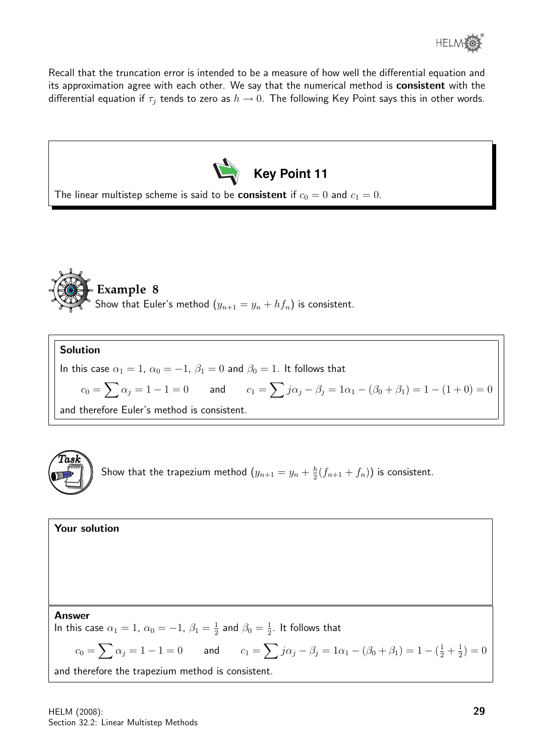

Recall that the truncation error is intended to be a measure of how well the differential equation and its approximation agree with each other. We say that the numerical method is consistent with the differential equation if  $\tau_j$  tends to zero as  $h \to 0$ . The following Key Point says this in other words.





Solution

In this case  $\alpha_1 = 1$ ,  $\alpha_0 = -1$ ,  $\beta_1 = 0$  and  $\beta_0 = 1$ . It follows that

 $c_0=\sum \alpha_j=1-1=0$  and  $c_1=\sum j\alpha_j-\beta_j=1\alpha_1-(\beta_0+\beta_1)=1-(1+0)=0$ 

and therefore Euler's method is consistent.



Show that the trapezium method  $(y_{n+1}=y_n+\frac{h}{2})$  $\frac{h}{2}(f_{n+1}+f_n)\big)$  is consistent.

| Your solution                                                                                                                                    |
|--------------------------------------------------------------------------------------------------------------------------------------------------|
|                                                                                                                                                  |
|                                                                                                                                                  |
|                                                                                                                                                  |
| <b>Answer</b>                                                                                                                                    |
| In this case $\alpha_1 = 1$ , $\alpha_0 = -1$ , $\beta_1 = \frac{1}{2}$ and $\beta_0 = \frac{1}{2}$ . It follows that                            |
| $c_0 = \sum \alpha_j = 1 - 1 = 0$ and $c_1 = \sum j \alpha_j - \beta_j = 1 \alpha_1 - (\beta_0 + \beta_1) = 1 - (\frac{1}{2} + \frac{1}{2}) = 0$ |
| and therefore the trapezium method is consistent.                                                                                                |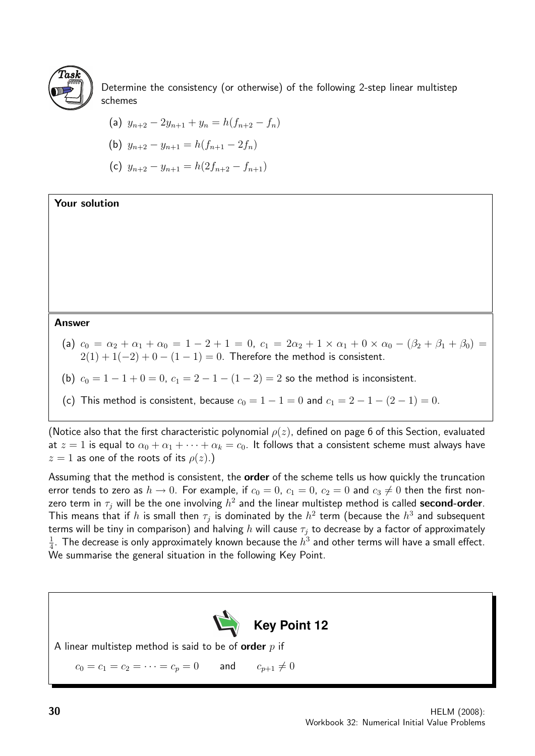

Determine the consistency (or otherwise) of the following 2-step linear multistep schemes

(a) 
$$
y_{n+2} - 2y_{n+1} + y_n = h(f_{n+2} - f_n)
$$

(b) 
$$
y_{n+2} - y_{n+1} = h(f_{n+1} - 2f_n)
$$

(c) 
$$
y_{n+2} - y_{n+1} = h(2f_{n+2} - f_{n+1})
$$

Your solution

Answer

(a)  $c_0 = \alpha_2 + \alpha_1 + \alpha_0 = 1 - 2 + 1 = 0$ ,  $c_1 = 2\alpha_2 + 1 \times \alpha_1 + 0 \times \alpha_0 - (\beta_2 + \beta_1 + \beta_0) =$  $2(1) + 1(-2) + 0 - (1 - 1) = 0$ . Therefore the method is consistent.

(b)  $c_0 = 1 - 1 + 0 = 0$ ,  $c_1 = 2 - 1 - (1 - 2) = 2$  so the method is inconsistent.

(c) This method is consistent, because  $c_0 = 1 - 1 = 0$  and  $c_1 = 2 - 1 - (2 - 1) = 0$ .

(Notice also that the first characteristic polynomial  $\rho(z)$ , defined on page 6 of this Section, evaluated at  $z = 1$  is equal to  $\alpha_0 + \alpha_1 + \cdots + \alpha_k = c_0$ . It follows that a consistent scheme must always have  $z = 1$  as one of the roots of its  $\rho(z)$ .)

Assuming that the method is consistent, the **order** of the scheme tells us how quickly the truncation error tends to zero as  $h \to 0$ . For example, if  $c_0 = 0$ ,  $c_1 = 0$ ,  $c_2 = 0$  and  $c_3 \neq 0$  then the first nonzero term in  $\tau_j$  will be the one involving  $h^2$  and the linear multistep method is called <code>second-order</code>. This means that if  $h$  is small then  $\tau_j$  is dominated by the  $h^2$  term (because the  $h^3$  and subsequent terms will be tiny in comparison) and halving h will cause  $\tau_j$  to decrease by a factor of approximately 1  $\frac{1}{4}.$  The decrease is only approximately known because the  $h^3$  and other terms will have a small effect. We summarise the general situation in the following Key Point.

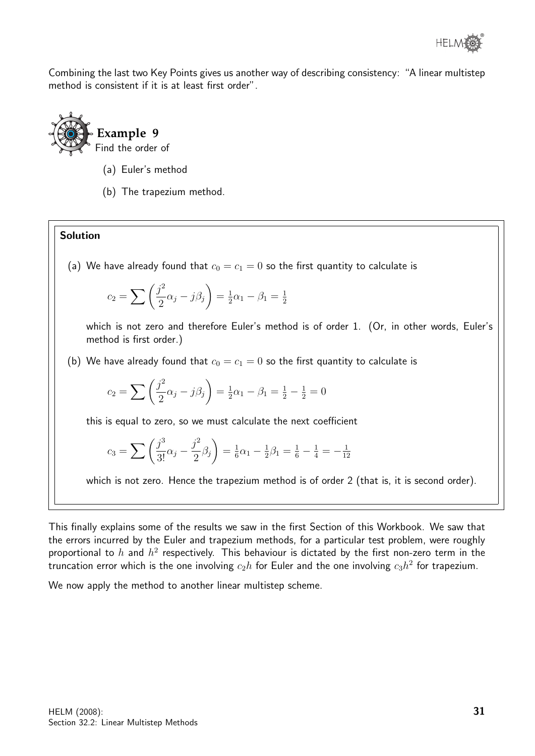Combining the last two Key Points gives us another way of describing consistency: "A linear multistep method is consistent if it is at least first order".



- (a) Euler's method
- (b) The trapezium method.

#### Solution

(a) We have already found that  $c_0 = c_1 = 0$  so the first quantity to calculate is

$$
c_2 = \sum \left(\frac{j^2}{2}\alpha_j - j\beta_j\right) = \frac{1}{2}\alpha_1 - \beta_1 = \frac{1}{2}
$$

which is not zero and therefore Euler's method is of order 1. (Or, in other words, Euler's method is first order.)

(b) We have already found that  $c_0 = c_1 = 0$  so the first quantity to calculate is

$$
c_2 = \sum \left(\frac{j^2}{2}\alpha_j - j\beta_j\right) = \frac{1}{2}\alpha_1 - \beta_1 = \frac{1}{2} - \frac{1}{2} = 0
$$

this is equal to zero, so we must calculate the next coefficient

$$
c_3 = \sum \left(\frac{j^3}{3!} \alpha_j - \frac{j^2}{2} \beta_j\right) = \frac{1}{6} \alpha_1 - \frac{1}{2} \beta_1 = \frac{1}{6} - \frac{1}{4} = -\frac{1}{12}
$$

which is not zero. Hence the trapezium method is of order 2 (that is, it is second order).

This finally explains some of the results we saw in the first Section of this Workbook. We saw that the errors incurred by the Euler and trapezium methods, for a particular test problem, were roughly proportional to  $h$  and  $h^2$  respectively. This behaviour is dictated by the first non-zero term in the truncation error which is the one involving  $c_2h$  for Euler and the one involving  $c_3h^2$  for trapezium.

We now apply the method to another linear multistep scheme.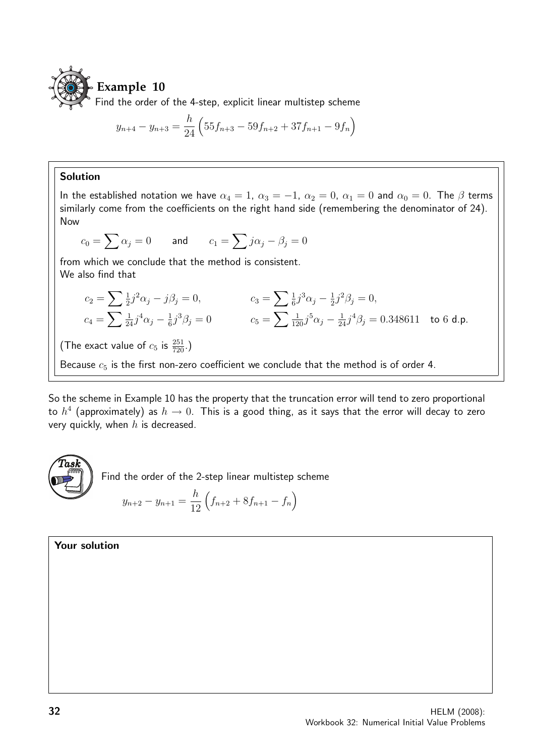

$$
y_{n+4} - y_{n+3} = \frac{h}{24} \left( 55f_{n+3} - 59f_{n+2} + 37f_{n+1} - 9f_n \right)
$$

#### Solution

In the established notation we have  $\alpha_4 = 1$ ,  $\alpha_3 = -1$ ,  $\alpha_2 = 0$ ,  $\alpha_1 = 0$  and  $\alpha_0 = 0$ . The  $\beta$  terms similarly come from the coefficients on the right hand side (remembering the denominator of 24). Now

$$
c_0 = \sum \alpha_j = 0
$$
 and  $c_1 = \sum j\alpha_j - \beta_j = 0$ 

from which we conclude that the method is consistent. We also find that

$$
c_2 = \sum \frac{1}{2} j^2 \alpha_j - j \beta_j = 0, \qquad c_3 = \sum \frac{1}{6} j^3 \alpha_j - \frac{1}{2} j^2 \beta_j = 0, \n c_4 = \sum \frac{1}{24} j^4 \alpha_j - \frac{1}{6} j^3 \beta_j = 0 \qquad c_5 = \sum \frac{1}{120} j^5 \alpha_j - \frac{1}{24} j^4 \beta_j = 0.348611 \text{ to } 6 \text{ d.p.}
$$

(The exact value of  $c_5$  is  $\frac{251}{720}$ .)

Because  $c_5$  is the first non-zero coefficient we conclude that the method is of order 4.

So the scheme in Example 10 has the property that the truncation error will tend to zero proportional to  $h^4$  (approximately) as  $h\to 0.$  This is a good thing, as it says that the error will decay to zero very quickly, when  $h$  is decreased.



Find the order of the 2-step linear multistep scheme

$$
y_{n+2} - y_{n+1} = \frac{h}{12} \left( f_{n+2} + 8f_{n+1} - f_n \right)
$$

Your solution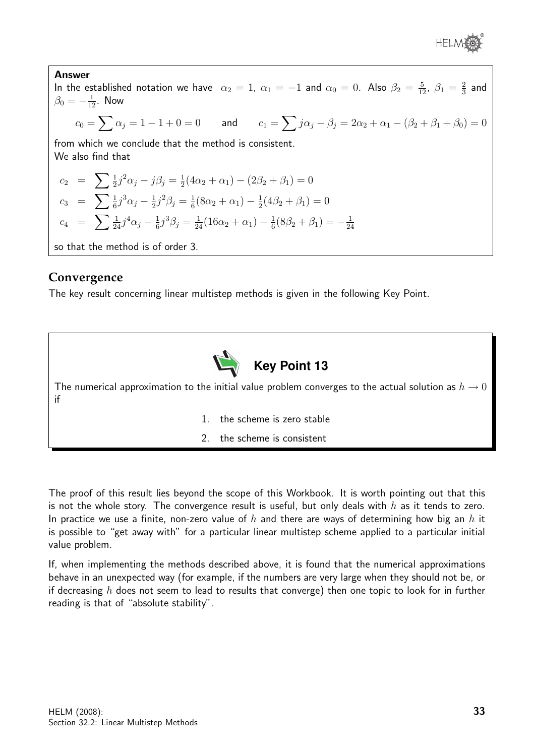

Answer In the established notation we have  $\alpha_2 = 1$ ,  $\alpha_1 = -1$  and  $\alpha_0 = 0$ . Also  $\beta_2 = \frac{5}{12}$ ,  $\beta_1 = \frac{2}{3}$  $rac{2}{3}$  and  $\beta_0=-\frac{1}{12}.$  Now  $c_0=\sum \alpha_j=1-1+0=0$  and  $c_1=\sum j\alpha_j-\beta_j=2\alpha_2+\alpha_1-(\beta_2+\beta_1+\beta_0)=0$ from which we conclude that the method is consistent. We also find that  $c_2 = \sum \frac{1}{2} j^2 \alpha_j - j \beta_j = \frac{1}{2}$  $\frac{1}{2}(4\alpha_2 + \alpha_1) - (2\beta_2 + \beta_1) = 0$  $c_3$  =  $\sum \frac{1}{6} j^3 \alpha_j - \frac{1}{2}$  $\frac{1}{2}j^2\beta_j = \frac{1}{6}$  $\frac{1}{6}(8\alpha_2+\alpha_1)-\frac{1}{2}$  $\frac{1}{2}(4\beta_2 + \beta_1) = 0$  $c_4$  =  $\sum \frac{1}{24} j^4 \alpha_j - \frac{1}{6}$  $\frac{1}{6}j^3\beta_j = \frac{1}{24}(16\alpha_2 + \alpha_1) - \frac{1}{6}$  $\frac{1}{6}(8\beta_2+\beta_1)=-\frac{1}{24}$ 24 so that the method is of order 3.

#### **Convergence**

The key result concerning linear multistep methods is given in the following Key Point.



The numerical approximation to the initial value problem converges to the actual solution as  $h\to 0$ if

- 1. the scheme is zero stable
- 2. the scheme is consistent

The proof of this result lies beyond the scope of this Workbook. It is worth pointing out that this is not the whole story. The convergence result is useful, but only deals with h as it tends to zero. In practice we use a finite, non-zero value of h and there are ways of determining how big an h it is possible to "get away with" for a particular linear multistep scheme applied to a particular initial value problem.

If, when implementing the methods described above, it is found that the numerical approximations behave in an unexpected way (for example, if the numbers are very large when they should not be, or if decreasing  $h$  does not seem to lead to results that converge) then one topic to look for in further reading is that of "absolute stability".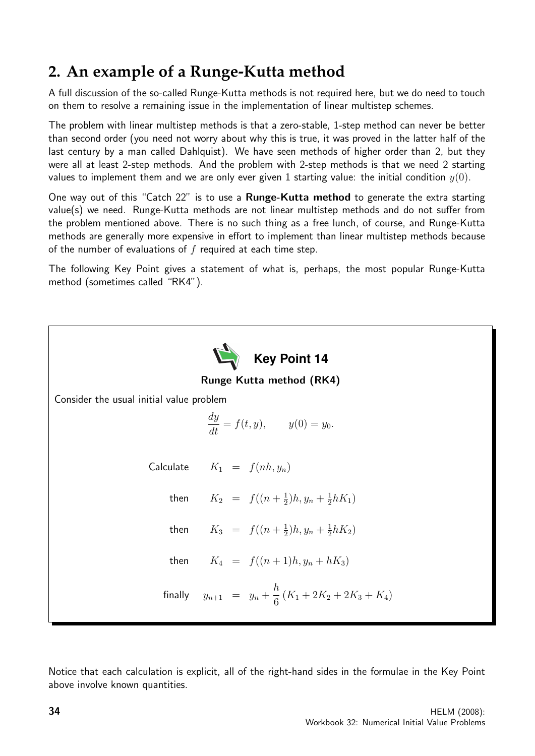## **2. An example of a Runge-Kutta method**

A full discussion of the so-called Runge-Kutta methods is not required here, but we do need to touch on them to resolve a remaining issue in the implementation of linear multistep schemes.

The problem with linear multistep methods is that a zero-stable, 1-step method can never be better than second order (you need not worry about why this is true, it was proved in the latter half of the last century by a man called Dahlquist). We have seen methods of higher order than 2, but they were all at least 2-step methods. And the problem with 2-step methods is that we need 2 starting values to implement them and we are only ever given 1 starting value: the initial condition  $y(0)$ .

One way out of this "Catch 22" is to use a **Runge-Kutta method** to generate the extra starting value(s) we need. Runge-Kutta methods are not linear multistep methods and do not suffer from the problem mentioned above. There is no such thing as a free lunch, of course, and Runge-Kutta methods are generally more expensive in effort to implement than linear multistep methods because of the number of evaluations of  $f$  required at each time step.

The following Key Point gives a statement of what is, perhaps, the most popular Runge-Kutta method (sometimes called "RK4").



Notice that each calculation is explicit, all of the right-hand sides in the formulae in the Key Point above involve known quantities.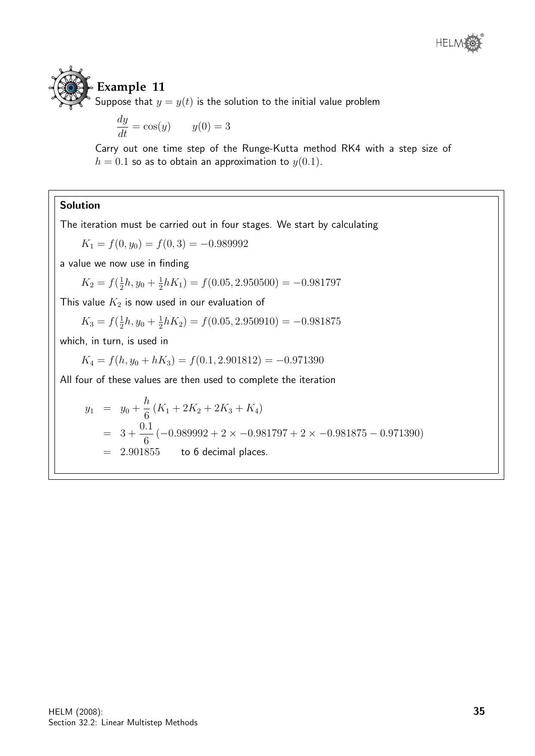# **Example 11**

Suppose that  $y = y(t)$  is the solution to the initial value problem

$$
\frac{dy}{dt} = \cos(y) \qquad y(0) = 3
$$

Carry out one time step of the Runge-Kutta method RK4 with a step size of  $h = 0.1$  so as to obtain an approximation to  $y(0.1)$ .

#### Solution

The iteration must be carried out in four stages. We start by calculating

 $K_1 = f(0, y_0) = f(0, 3) = -0.989992$ 

a value we now use in finding

$$
K_2 = f(\frac{1}{2}h, y_0 + \frac{1}{2}hK_1) = f(0.05, 2.950500) = -0.981797
$$

This value  $K_2$  is now used in our evaluation of

$$
K_3 = f(\frac{1}{2}h, y_0 + \frac{1}{2}hK_2) = f(0.05, 2.950910) = -0.981875
$$

which, in turn, is used in

$$
K_4 = f(h, y_0 + hK_3) = f(0.1, 2.901812) = -0.971390
$$

All four of these values are then used to complete the iteration

$$
y_1 = y_0 + \frac{h}{6} (K_1 + 2K_2 + 2K_3 + K_4)
$$
  
=  $3 + \frac{0.1}{6} (-0.989992 + 2 \times -0.981797 + 2 \times -0.981875 - 0.971390)$   
= 2.901855 to 6 decimal places.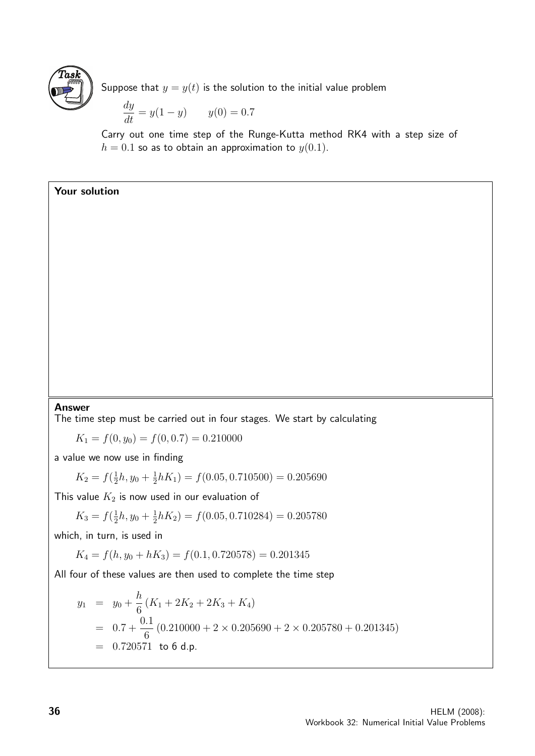

Suppose that  $y = y(t)$  is the solution to the initial value problem

$$
\frac{dy}{dt} = y(1 - y) \qquad y(0) = 0.7
$$

Carry out one time step of the Runge-Kutta method RK4 with a step size of  $h = 0.1$  so as to obtain an approximation to  $y(0.1)$ .

#### Your solution

#### Answer

The time step must be carried out in four stages. We start by calculating

 $K_1 = f(0, y_0) = f(0, 0.7) = 0.210000$ 

a value we now use in finding

$$
K_2 = f(\frac{1}{2}h, y_0 + \frac{1}{2}hK_1) = f(0.05, 0.710500) = 0.205690
$$

This value  $K_2$  is now used in our evaluation of

$$
K_3 = f(\frac{1}{2}h, y_0 + \frac{1}{2}hK_2) = f(0.05, 0.710284) = 0.205780
$$

which, in turn, is used in

$$
K_4 = f(h, y_0 + hK_3) = f(0.1, 0.720578) = 0.201345
$$

All four of these values are then used to complete the time step

$$
y_1 = y_0 + \frac{h}{6} (K_1 + 2K_2 + 2K_3 + K_4)
$$
  
= 0.7 +  $\frac{0.1}{6}$  (0.210000 + 2 × 0.205690 + 2 × 0.205780 + 0.201345)  
= 0.720571 to 6 d.p.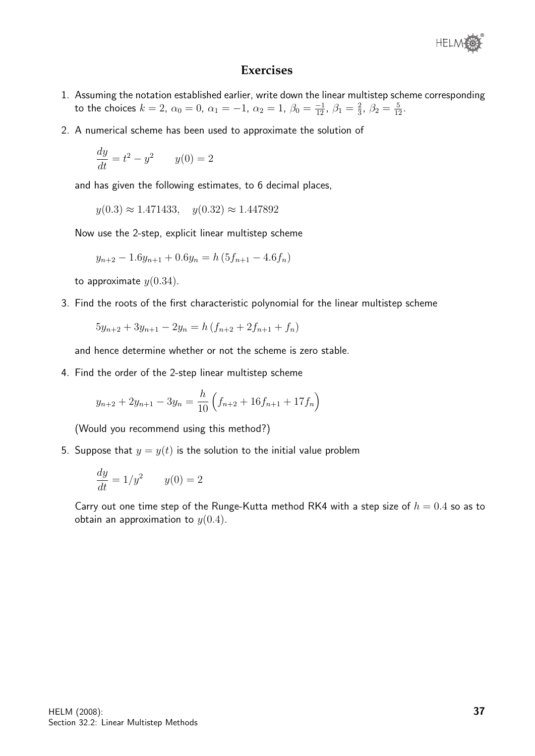

#### **Exercises**

- 1. Assuming the notation established earlier, write down the linear multistep scheme corresponding to the choices  $k = 2$ ,  $\alpha_0 = 0$ ,  $\alpha_1 = -1$ ,  $\alpha_2 = 1$ ,  $\beta_0 = \frac{-1}{12}$ ,  $\beta_1 = \frac{2}{3}$  $\frac{2}{3}$ ,  $\beta_2 = \frac{5}{12}$ .
- 2. A numerical scheme has been used to approximate the solution of

$$
\frac{dy}{dt} = t^2 - y^2 \qquad y(0) = 2
$$

and has given the following estimates, to 6 decimal places,

$$
y(0.3) \approx 1.471433
$$
,  $y(0.32) \approx 1.447892$ 

Now use the 2-step, explicit linear multistep scheme

$$
y_{n+2} - 1.6y_{n+1} + 0.6y_n = h(5f_{n+1} - 4.6f_n)
$$

to approximate  $y(0.34)$ .

3. Find the roots of the first characteristic polynomial for the linear multistep scheme

$$
5y_{n+2} + 3y_{n+1} - 2y_n = h(f_{n+2} + 2f_{n+1} + f_n)
$$

and hence determine whether or not the scheme is zero stable.

4. Find the order of the 2-step linear multistep scheme

$$
y_{n+2} + 2y_{n+1} - 3y_n = \frac{h}{10} \left( f_{n+2} + 16f_{n+1} + 17f_n \right)
$$

(Would you recommend using this method?)

5. Suppose that  $y = y(t)$  is the solution to the initial value problem

$$
\frac{dy}{dt} = 1/y^2 \qquad y(0) = 2
$$

Carry out one time step of the Runge-Kutta method RK4 with a step size of  $h = 0.4$  so as to obtain an approximation to  $y(0.4)$ .